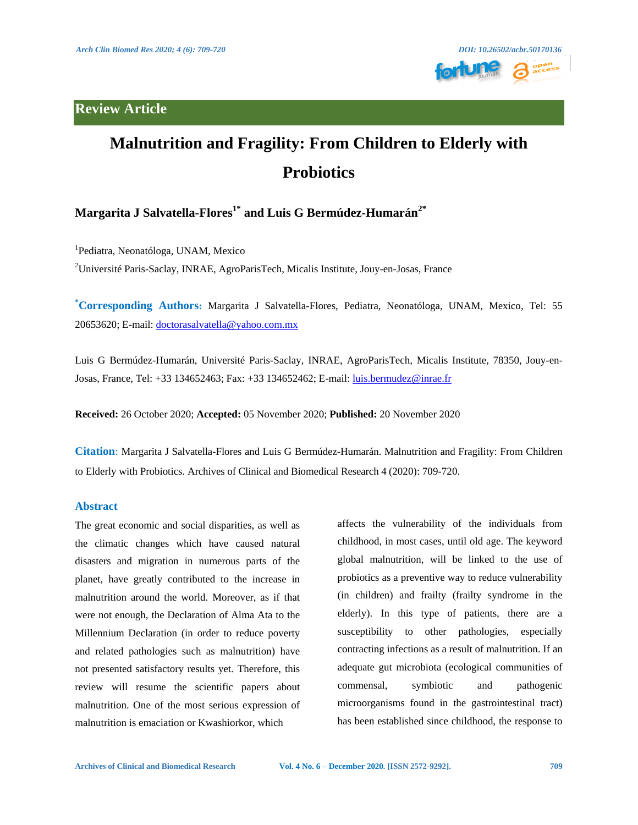**Review Article**



# **Malnutrition and Fragility: From Children to Elderly with Probiotics**

# **Margarita J Salvatella-Flores1\* and Luis G Bermúdez-Humarán2\***

<sup>1</sup>Pediatra, Neonatóloga, UNAM, Mexico <sup>2</sup>Université Paris-Saclay, INRAE, AgroParisTech, Micalis Institute, Jouy-en-Josas, France

**\*Corresponding Authors:** Margarita J Salvatella-Flores, Pediatra, Neonatóloga, UNAM, Mexico, Tel: 55 20653620; E-mail: [doctorasalvatella@yahoo.com.mx](mailto:doctorasalvatella@yahoo.com.mx)

Luis G Bermúdez-Humarán, Université Paris-Saclay, INRAE, AgroParisTech, Micalis Institute, 78350, Jouy-en-Josas, France, Tel: +33 134652463; Fax: +33 134652462; E-mail: *luis.bermudez@inrae.fr* 

**Received:** 26 October 2020; **Accepted:** 05 November 2020; **Published:** 20 November 2020

**Citation**: Margarita J Salvatella-Flores and Luis G Bermúdez-Humarán. Malnutrition and Fragility: From Children to Elderly with Probiotics. Archives of Clinical and Biomedical Research 4 (2020): 709-720.

# **Abstract**

The great economic and social disparities, as well as the climatic changes which have caused natural disasters and migration in numerous parts of the planet, have greatly contributed to the increase in malnutrition around the world. Moreover, as if that were not enough, the Declaration of Alma Ata to the Millennium Declaration (in order to reduce poverty and related pathologies such as malnutrition) have not presented satisfactory results yet. Therefore, this review will resume the scientific papers about malnutrition. One of the most serious expression of malnutrition is emaciation or Kwashiorkor, which

affects the vulnerability of the individuals from childhood, in most cases, until old age. The keyword global malnutrition, will be linked to the use of probiotics as a preventive way to reduce vulnerability (in children) and frailty (frailty syndrome in the elderly). In this type of patients, there are a susceptibility to other pathologies, especially contracting infections as a result of malnutrition. If an adequate gut microbiota (ecological communities of commensal, symbiotic and pathogenic microorganisms found in the gastrointestinal tract) has been established since childhood, the response to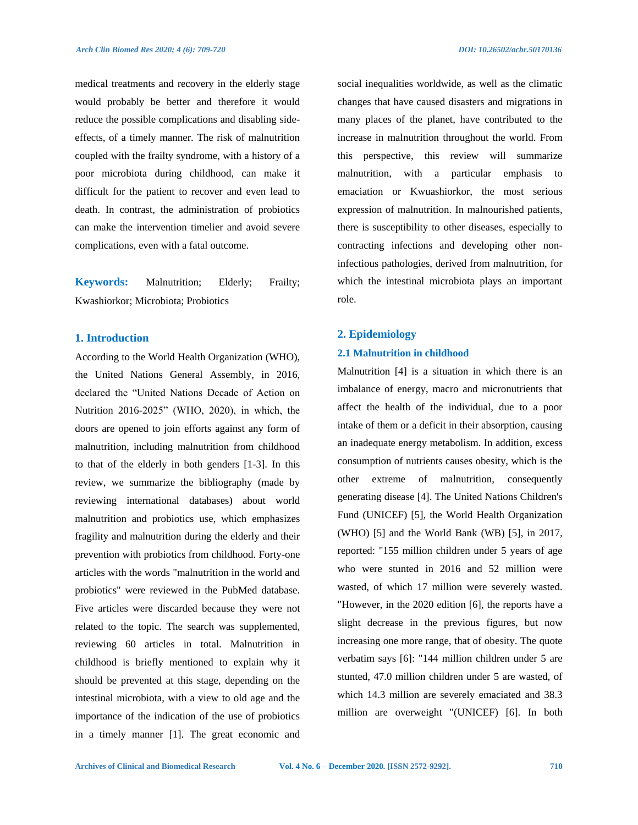medical treatments and recovery in the elderly stage would probably be better and therefore it would reduce the possible complications and disabling sideeffects, of a timely manner. The risk of malnutrition coupled with the frailty syndrome, with a history of a poor microbiota during childhood, can make it difficult for the patient to recover and even lead to death. In contrast, the administration of probiotics can make the intervention timelier and avoid severe complications, even with a fatal outcome.

**Keywords:** Malnutrition; Elderly; Frailty; Kwashiorkor; Microbiota; Probiotics

## **1. Introduction**

According to the World Health Organization (WHO), the United Nations General Assembly, in 2016, declared the "United Nations Decade of Action on Nutrition 2016-2025" (WHO, 2020), in which, the doors are opened to join efforts against any form of malnutrition, including malnutrition from childhood to that of the elderly in both genders [1-3]. In this review, we summarize the bibliography (made by reviewing international databases) about world malnutrition and probiotics use, which emphasizes fragility and malnutrition during the elderly and their prevention with probiotics from childhood. Forty-one articles with the words "malnutrition in the world and probiotics" were reviewed in the PubMed database. Five articles were discarded because they were not related to the topic. The search was supplemented, reviewing 60 articles in total. Malnutrition in childhood is briefly mentioned to explain why it should be prevented at this stage, depending on the intestinal microbiota, with a view to old age and the importance of the indication of the use of probiotics in a timely manner [1]. The great economic and social inequalities worldwide, as well as the climatic changes that have caused disasters and migrations in many places of the planet, have contributed to the increase in malnutrition throughout the world. From this perspective, this review will summarize malnutrition, with a particular emphasis to emaciation or Kwuashiorkor, the most serious expression of malnutrition. In malnourished patients, there is susceptibility to other diseases, especially to contracting infections and developing other noninfectious pathologies, derived from malnutrition, for which the intestinal microbiota plays an important role.

### **2. Epidemiology**

#### **2.1 Malnutrition in childhood**

Malnutrition [4] is a situation in which there is an imbalance of energy, macro and micronutrients that affect the health of the individual, due to a poor intake of them or a deficit in their absorption, causing an inadequate energy metabolism. In addition, excess consumption of nutrients causes obesity, which is the other extreme of malnutrition, consequently generating disease [4]. The United Nations Children's Fund (UNICEF) [5], the World Health Organization (WHO) [5] and the World Bank (WB) [5], in 2017, reported: "155 million children under 5 years of age who were stunted in 2016 and 52 million were wasted, of which 17 million were severely wasted. "However, in the 2020 edition [6], the reports have a slight decrease in the previous figures, but now increasing one more range, that of obesity. The quote verbatim says [6]: "144 million children under 5 are stunted, 47.0 million children under 5 are wasted, of which 14.3 million are severely emaciated and 38.3 million are overweight "(UNICEF) [6]. In both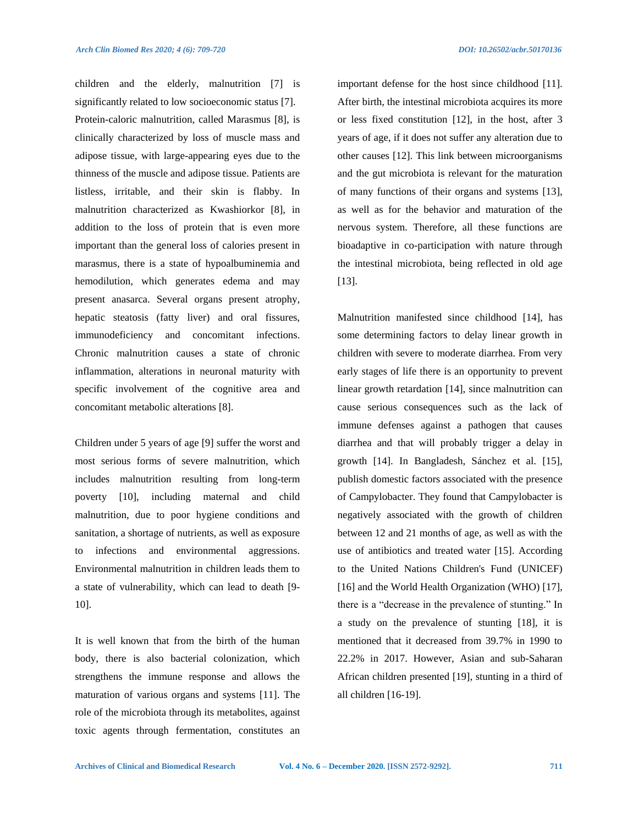children and the elderly, malnutrition [7] is significantly related to low socioeconomic status [7]. Protein-caloric malnutrition, called Marasmus [8], is clinically characterized by loss of muscle mass and adipose tissue, with large-appearing eyes due to the thinness of the muscle and adipose tissue. Patients are listless, irritable, and their skin is flabby. In malnutrition characterized as Kwashiorkor [8], in addition to the loss of protein that is even more important than the general loss of calories present in marasmus, there is a state of hypoalbuminemia and hemodilution, which generates edema and may present anasarca. Several organs present atrophy, hepatic steatosis (fatty liver) and oral fissures, immunodeficiency and concomitant infections. Chronic malnutrition causes a state of chronic inflammation, alterations in neuronal maturity with specific involvement of the cognitive area and concomitant metabolic alterations [8].

Children under 5 years of age [9] suffer the worst and most serious forms of severe malnutrition, which includes malnutrition resulting from long-term poverty [10], including maternal and child malnutrition, due to poor hygiene conditions and sanitation, a shortage of nutrients, as well as exposure to infections and environmental aggressions. Environmental malnutrition in children leads them to a state of vulnerability, which can lead to death [9- 10].

It is well known that from the birth of the human body, there is also bacterial colonization, which strengthens the immune response and allows the maturation of various organs and systems [11]. The role of the microbiota through its metabolites, against toxic agents through fermentation, constitutes an important defense for the host since childhood [11]. After birth, the intestinal microbiota acquires its more or less fixed constitution [12], in the host, after 3 years of age, if it does not suffer any alteration due to other causes [12]. This link between microorganisms and the gut microbiota is relevant for the maturation of many functions of their organs and systems [13], as well as for the behavior and maturation of the nervous system. Therefore, all these functions are bioadaptive in co-participation with nature through the intestinal microbiota, being reflected in old age [13].

Malnutrition manifested since childhood [14], has some determining factors to delay linear growth in children with severe to moderate diarrhea. From very early stages of life there is an opportunity to prevent linear growth retardation [14], since malnutrition can cause serious consequences such as the lack of immune defenses against a pathogen that causes diarrhea and that will probably trigger a delay in growth [14]. In Bangladesh, Sánchez et al. [15], publish domestic factors associated with the presence of Campylobacter. They found that Campylobacter is negatively associated with the growth of children between 12 and 21 months of age, as well as with the use of antibiotics and treated water [15]. According to the United Nations Children's Fund (UNICEF) [16] and the World Health Organization (WHO) [17], there is a "decrease in the prevalence of stunting." In a study on the prevalence of stunting [18], it is mentioned that it decreased from 39.7% in 1990 to 22.2% in 2017. However, Asian and sub-Saharan African children presented [19], stunting in a third of all children [16-19].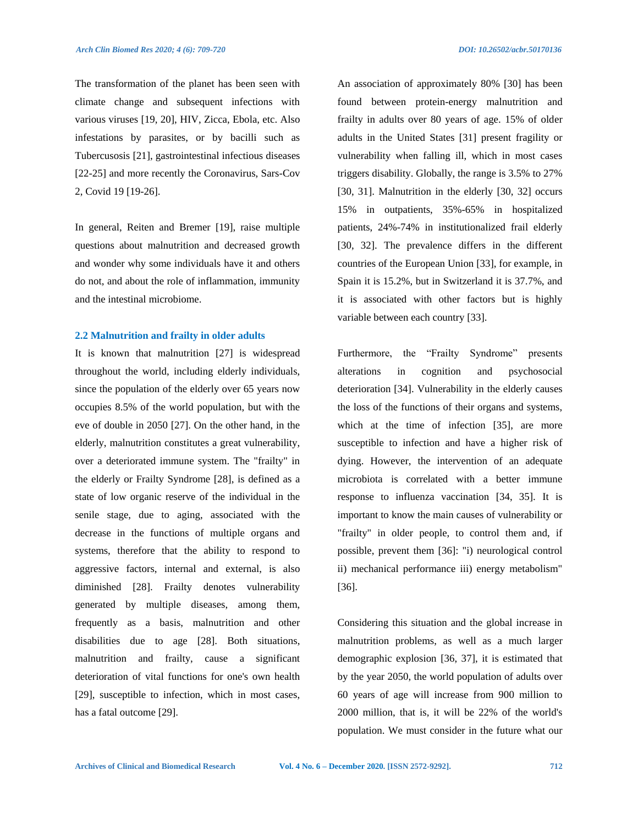2, Covid 19 [19-26].

The transformation of the planet has been seen with climate change and subsequent infections with various viruses [19, 20], HIV, Zicca, Ebola, etc. Also infestations by parasites, or by bacilli such as Tubercusosis [21], gastrointestinal infectious diseases [22-25] and more recently the Coronavirus, Sars-Cov

In general, Reiten and Bremer [19], raise multiple questions about malnutrition and decreased growth and wonder why some individuals have it and others do not, and about the role of inflammation, immunity and the intestinal microbiome.

#### **2.2 Malnutrition and frailty in older adults**

It is known that malnutrition [27] is widespread throughout the world, including elderly individuals, since the population of the elderly over 65 years now occupies 8.5% of the world population, but with the eve of double in 2050 [27]. On the other hand, in the elderly, malnutrition constitutes a great vulnerability, over a deteriorated immune system. The "frailty" in the elderly or Frailty Syndrome [28], is defined as a state of low organic reserve of the individual in the senile stage, due to aging, associated with the decrease in the functions of multiple organs and systems, therefore that the ability to respond to aggressive factors, internal and external, is also diminished [28]. Frailty denotes vulnerability generated by multiple diseases, among them, frequently as a basis, malnutrition and other disabilities due to age [28]. Both situations, malnutrition and frailty, cause a significant deterioration of vital functions for one's own health [29], susceptible to infection, which in most cases, has a fatal outcome [29].

An association of approximately 80% [30] has been found between protein-energy malnutrition and frailty in adults over 80 years of age. 15% of older adults in the United States [31] present fragility or vulnerability when falling ill, which in most cases triggers disability. Globally, the range is 3.5% to 27% [30, 31]. Malnutrition in the elderly [30, 32] occurs 15% in outpatients, 35%-65% in hospitalized patients, 24%-74% in institutionalized frail elderly [30, 32]. The prevalence differs in the different countries of the European Union [33], for example, in Spain it is 15.2%, but in Switzerland it is 37.7%, and it is associated with other factors but is highly variable between each country [33].

Furthermore, the "Frailty Syndrome" presents alterations in cognition and psychosocial deterioration [34]. Vulnerability in the elderly causes the loss of the functions of their organs and systems, which at the time of infection [35], are more susceptible to infection and have a higher risk of dying. However, the intervention of an adequate microbiota is correlated with a better immune response to influenza vaccination [34, 35]. It is important to know the main causes of vulnerability or "frailty" in older people, to control them and, if possible, prevent them [36]: "i) neurological control ii) mechanical performance iii) energy metabolism" [36].

Considering this situation and the global increase in malnutrition problems, as well as a much larger demographic explosion [36, 37], it is estimated that by the year 2050, the world population of adults over 60 years of age will increase from 900 million to 2000 million, that is, it will be 22% of the world's population. We must consider in the future what our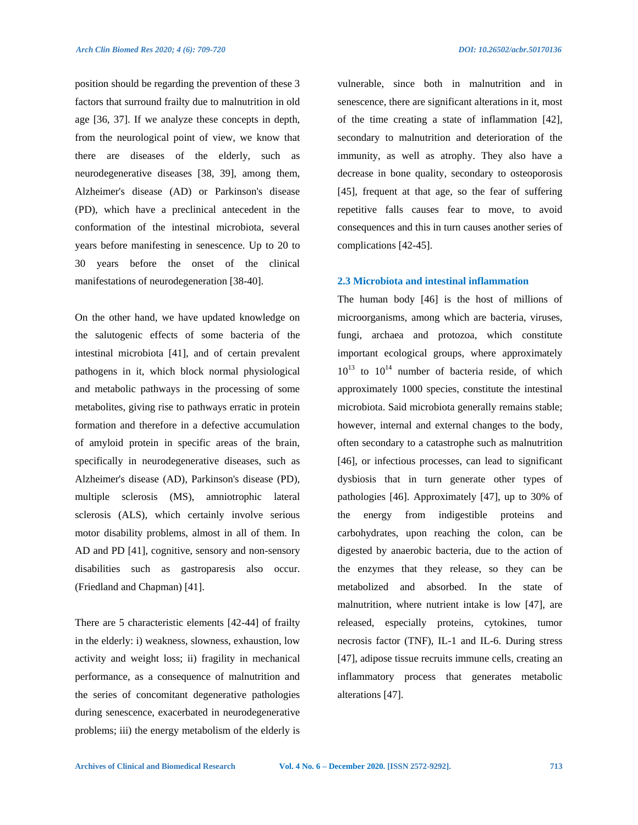position should be regarding the prevention of these 3 factors that surround frailty due to malnutrition in old age [36, 37]. If we analyze these concepts in depth, from the neurological point of view, we know that there are diseases of the elderly, such as neurodegenerative diseases [38, 39], among them, Alzheimer's disease (AD) or Parkinson's disease (PD), which have a preclinical antecedent in the conformation of the intestinal microbiota, several years before manifesting in senescence. Up to 20 to 30 years before the onset of the clinical manifestations of neurodegeneration [38-40].

On the other hand, we have updated knowledge on the salutogenic effects of some bacteria of the intestinal microbiota [41], and of certain prevalent pathogens in it, which block normal physiological and metabolic pathways in the processing of some metabolites, giving rise to pathways erratic in protein formation and therefore in a defective accumulation of amyloid protein in specific areas of the brain, specifically in neurodegenerative diseases, such as Alzheimer's disease (AD), Parkinson's disease (PD), multiple sclerosis (MS), amniotrophic lateral sclerosis (ALS), which certainly involve serious motor disability problems, almost in all of them. In AD and PD [41], cognitive, sensory and non-sensory disabilities such as gastroparesis also occur. (Friedland and Chapman) [41].

There are 5 characteristic elements [42-44] of frailty in the elderly: i) weakness, slowness, exhaustion, low activity and weight loss; ii) fragility in mechanical performance, as a consequence of malnutrition and the series of concomitant degenerative pathologies during senescence, exacerbated in neurodegenerative problems; iii) the energy metabolism of the elderly is vulnerable, since both in malnutrition and in senescence, there are significant alterations in it, most of the time creating a state of inflammation [42], secondary to malnutrition and deterioration of the immunity, as well as atrophy. They also have a decrease in bone quality, secondary to osteoporosis [45], frequent at that age, so the fear of suffering repetitive falls causes fear to move, to avoid consequences and this in turn causes another series of complications [42-45].

### **2.3 Microbiota and intestinal inflammation**

The human body [46] is the host of millions of microorganisms, among which are bacteria, viruses, fungi, archaea and protozoa, which constitute important ecological groups, where approximately  $10^{13}$  to  $10^{14}$  number of bacteria reside, of which approximately 1000 species, constitute the intestinal microbiota. Said microbiota generally remains stable; however, internal and external changes to the body, often secondary to a catastrophe such as malnutrition [46], or infectious processes, can lead to significant dysbiosis that in turn generate other types of pathologies [46]. Approximately [47], up to 30% of the energy from indigestible proteins and carbohydrates, upon reaching the colon, can be digested by anaerobic bacteria, due to the action of the enzymes that they release, so they can be metabolized and absorbed. In the state of malnutrition, where nutrient intake is low [47], are released, especially proteins, cytokines, tumor necrosis factor (TNF), IL-1 and IL-6. During stress [47], adipose tissue recruits immune cells, creating an inflammatory process that generates metabolic alterations [47].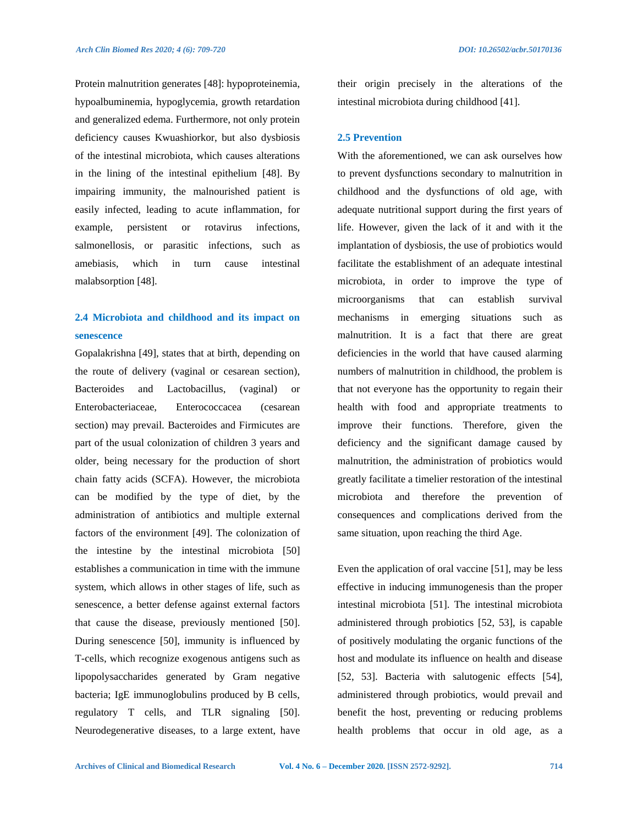Protein malnutrition generates [48]: hypoproteinemia, hypoalbuminemia, hypoglycemia, growth retardation and generalized edema. Furthermore, not only protein deficiency causes Kwuashiorkor, but also dysbiosis of the intestinal microbiota, which causes alterations in the lining of the intestinal epithelium [48]. By impairing immunity, the malnourished patient is easily infected, leading to acute inflammation, for example, persistent or rotavirus infections, salmonellosis, or parasitic infections, such as amebiasis, which in turn cause intestinal malabsorption [48].

# **2.4 Microbiota and childhood and its impact on senescence**

Gopalakrishna [49], states that at birth, depending on the route of delivery (vaginal or cesarean section), Bacteroides and Lactobacillus, (vaginal) or Enterobacteriaceae, Enterococcacea (cesarean section) may prevail. Bacteroides and Firmicutes are part of the usual colonization of children 3 years and older, being necessary for the production of short chain fatty acids (SCFA). However, the microbiota can be modified by the type of diet, by the administration of antibiotics and multiple external factors of the environment [49]. The colonization of the intestine by the intestinal microbiota [50] establishes a communication in time with the immune system, which allows in other stages of life, such as senescence, a better defense against external factors that cause the disease, previously mentioned [50]. During senescence [50], immunity is influenced by T-cells, which recognize exogenous antigens such as lipopolysaccharides generated by Gram negative bacteria; IgE immunoglobulins produced by B cells, regulatory T cells, and TLR signaling [50]. Neurodegenerative diseases, to a large extent, have their origin precisely in the alterations of the intestinal microbiota during childhood [41].

### **2.5 Prevention**

With the aforementioned, we can ask ourselves how to prevent dysfunctions secondary to malnutrition in childhood and the dysfunctions of old age, with adequate nutritional support during the first years of life. However, given the lack of it and with it the implantation of dysbiosis, the use of probiotics would facilitate the establishment of an adequate intestinal microbiota, in order to improve the type of microorganisms that can establish survival mechanisms in emerging situations such as malnutrition. It is a fact that there are great deficiencies in the world that have caused alarming numbers of malnutrition in childhood, the problem is that not everyone has the opportunity to regain their health with food and appropriate treatments to improve their functions. Therefore, given the deficiency and the significant damage caused by malnutrition, the administration of probiotics would greatly facilitate a timelier restoration of the intestinal microbiota and therefore the prevention of consequences and complications derived from the same situation, upon reaching the third Age.

Even the application of oral vaccine [51], may be less effective in inducing immunogenesis than the proper intestinal microbiota [51]. The intestinal microbiota administered through probiotics [52, 53], is capable of positively modulating the organic functions of the host and modulate its influence on health and disease [52, 53]. Bacteria with salutogenic effects [54], administered through probiotics, would prevail and benefit the host, preventing or reducing problems health problems that occur in old age, as a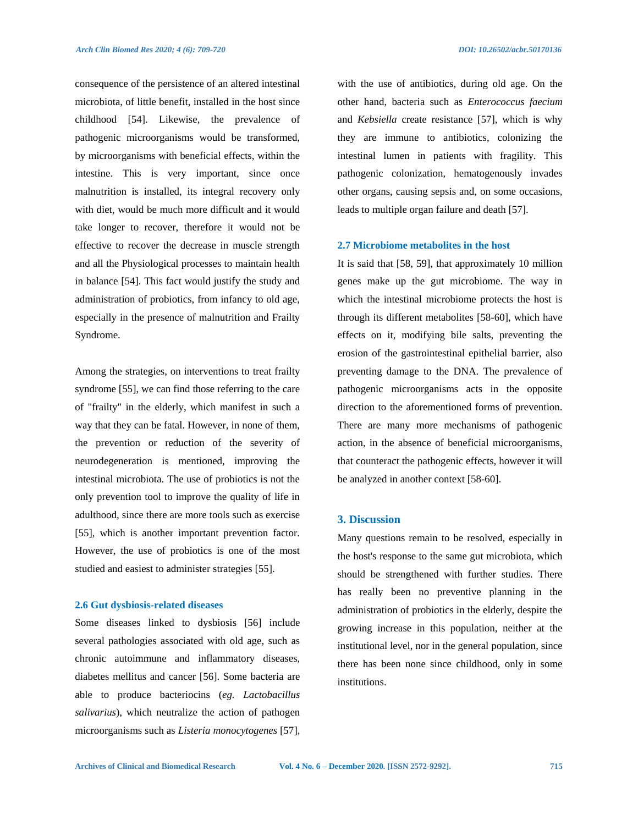consequence of the persistence of an altered intestinal microbiota, of little benefit, installed in the host since childhood [54]. Likewise, the prevalence of pathogenic microorganisms would be transformed, by microorganisms with beneficial effects, within the intestine. This is very important, since once malnutrition is installed, its integral recovery only with diet, would be much more difficult and it would take longer to recover, therefore it would not be effective to recover the decrease in muscle strength and all the Physiological processes to maintain health in balance [54]. This fact would justify the study and administration of probiotics, from infancy to old age, especially in the presence of malnutrition and Frailty Syndrome.

Among the strategies, on interventions to treat frailty syndrome [55], we can find those referring to the care of "frailty" in the elderly, which manifest in such a way that they can be fatal. However, in none of them, the prevention or reduction of the severity of neurodegeneration is mentioned, improving the intestinal microbiota. The use of probiotics is not the only prevention tool to improve the quality of life in adulthood, since there are more tools such as exercise [55], which is another important prevention factor. However, the use of probiotics is one of the most studied and easiest to administer strategies [55].

### **2.6 Gut dysbiosis-related diseases**

Some diseases linked to dysbiosis [56] include several pathologies associated with old age, such as chronic autoimmune and inflammatory diseases, diabetes mellitus and cancer [56]. Some bacteria are able to produce bacteriocins (*eg. Lactobacillus salivarius*), which neutralize the action of pathogen microorganisms such as *Listeria monocytogenes* [57], with the use of antibiotics, during old age. On the other hand, bacteria such as *Enterococcus faecium* and *Kebsiella* create resistance [57], which is why they are immune to antibiotics, colonizing the intestinal lumen in patients with fragility. This pathogenic colonization, hematogenously invades other organs, causing sepsis and, on some occasions, leads to multiple organ failure and death [57].

## **2.7 Microbiome metabolites in the host**

It is said that [58, 59], that approximately 10 million genes make up the gut microbiome. The way in which the intestinal microbiome protects the host is through its different metabolites [58-60], which have effects on it, modifying bile salts, preventing the erosion of the gastrointestinal epithelial barrier, also preventing damage to the DNA. The prevalence of pathogenic microorganisms acts in the opposite direction to the aforementioned forms of prevention. There are many more mechanisms of pathogenic action, in the absence of beneficial microorganisms, that counteract the pathogenic effects, however it will be analyzed in another context [58-60].

### **3. Discussion**

Many questions remain to be resolved, especially in the host's response to the same gut microbiota, which should be strengthened with further studies. There has really been no preventive planning in the administration of probiotics in the elderly, despite the growing increase in this population, neither at the institutional level, nor in the general population, since there has been none since childhood, only in some institutions.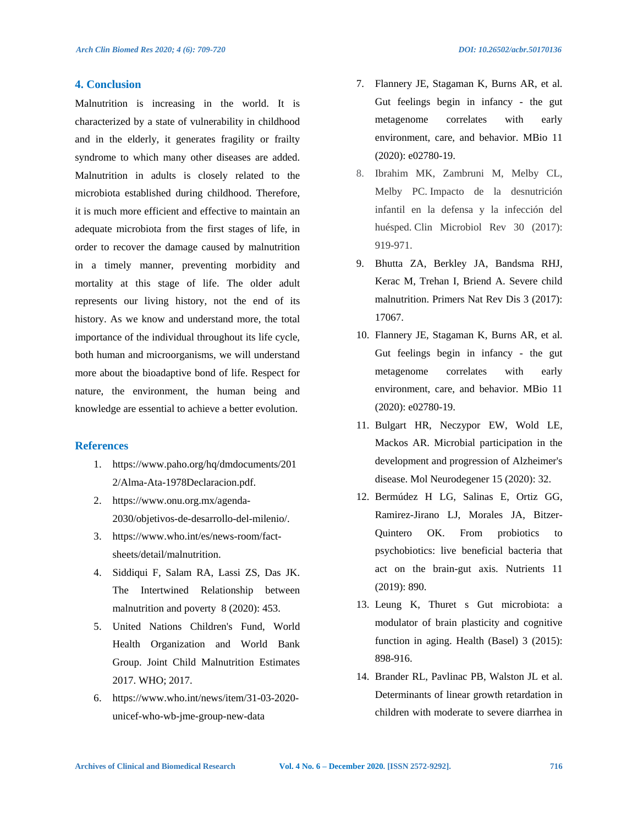### **4. Conclusion**

Malnutrition is increasing in the world. It is characterized by a state of vulnerability in childhood and in the elderly, it generates fragility or frailty syndrome to which many other diseases are added. Malnutrition in adults is closely related to the microbiota established during childhood. Therefore, it is much more efficient and effective to maintain an adequate microbiota from the first stages of life, in order to recover the damage caused by malnutrition in a timely manner, preventing morbidity and mortality at this stage of life. The older adult represents our living history, not the end of its history. As we know and understand more, the total importance of the individual throughout its life cycle, both human and microorganisms, we will understand more about the bioadaptive bond of life. Respect for nature, the environment, the human being and knowledge are essential to achieve a better evolution.

### **References**

- 1. https://www.paho.org/hq/dmdocuments/201 2/Alma-Ata-1978Declaracion.pdf.
- 2. https://www.onu.org.mx/agenda-2030/objetivos-de-desarrollo-del-milenio/.
- 3. https://www.who.int/es/news-room/factsheets/detail/malnutrition.
- 4. Siddiqui F, Salam RA, Lassi ZS, Das JK. The Intertwined Relationship between malnutrition and poverty 8 (2020): 453.
- 5. United Nations Children's Fund, World Health Organization and World Bank Group. Joint Child Malnutrition Estimates 2017. WHO; 2017.
- 6. https://www.who.int/news/item/31-03-2020 unicef-who-wb-jme-group-new-data
- 7. Flannery JE, Stagaman K, Burns AR, et al. Gut feelings begin in infancy - the gut metagenome correlates with early environment, care, and behavior. MBio 11 (2020): e02780-19.
- 8. Ibrahim MK, Zambruni M, Melby CL, Melby PC. Impacto de la desnutrición infantil en la defensa y la infección del huésped. Clin Microbiol Rev 30 (2017): 919-971.
- 9. Bhutta ZA, Berkley JA, Bandsma RHJ, Kerac M, Trehan I, Briend A. Severe child malnutrition. Primers Nat Rev Dis 3 (2017): 17067.
- 10. Flannery JE, Stagaman K, Burns AR, et al. Gut feelings begin in infancy - the gut metagenome correlates with early environment, care, and behavior. MBio 11 (2020): e02780-19.
- 11. Bulgart HR, Neczypor EW, Wold LE, Mackos AR. Microbial participation in the development and progression of Alzheimer's disease. Mol Neurodegener 15 (2020): 32.
- 12. Bermúdez H LG, Salinas E, Ortiz GG, Ramirez-Jirano LJ, Morales JA, Bitzer-Quintero OK. From probiotics to psychobiotics: live beneficial bacteria that act on the brain-gut axis. Nutrients 11 (2019): 890.
- 13. Leung K, Thuret s Gut microbiota: a modulator of brain plasticity and cognitive function in aging. Health (Basel) 3 (2015): 898-916.
- 14. Brander RL, Pavlinac PB, Walston JL et al. Determinants of linear growth retardation in children with moderate to severe diarrhea in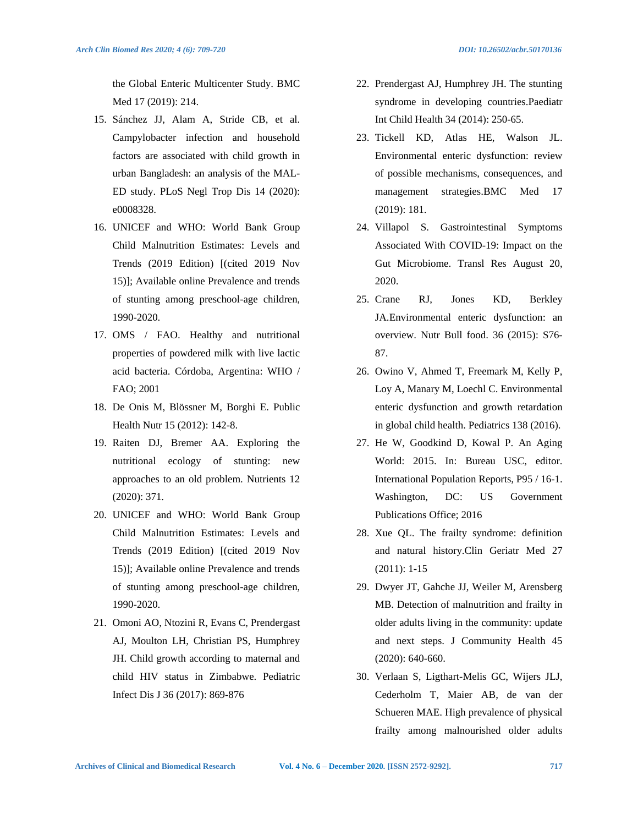the Global Enteric Multicenter Study. BMC Med 17 (2019): 214.

- 15. Sánchez JJ, Alam A, Stride CB, et al. Campylobacter infection and household factors are associated with child growth in urban Bangladesh: an analysis of the MAL-ED study. PLoS Negl Trop Dis 14 (2020): e0008328.
- 16. UNICEF and WHO: World Bank Group Child Malnutrition Estimates: Levels and Trends (2019 Edition) [(cited 2019 Nov 15)]; Available online Prevalence and trends of stunting among preschool-age children, 1990-2020.
- 17. OMS / FAO. Healthy and nutritional properties of powdered milk with live lactic acid bacteria. Córdoba, Argentina: WHO / FAO; 2001
- 18. De Onis M, Blössner M, Borghi E. Public Health Nutr 15 (2012): 142-8.
- 19. Raiten DJ, Bremer AA. Exploring the nutritional ecology of stunting: new approaches to an old problem. Nutrients 12 (2020): 371.
- 20. UNICEF and WHO: World Bank Group Child Malnutrition Estimates: Levels and Trends (2019 Edition) [(cited 2019 Nov 15)]; Available online Prevalence and trends of stunting among preschool-age children, 1990-2020.
- 21. Omoni AO, Ntozini R, Evans C, Prendergast AJ, Moulton LH, Christian PS, Humphrey JH. Child growth according to maternal and child HIV status in Zimbabwe. Pediatric Infect Dis J 36 (2017): 869-876
- 22. Prendergast AJ, Humphrey JH. The stunting syndrome in developing countries.Paediatr Int Child Health 34 (2014): 250-65.
- 23. Tickell KD, Atlas HE, Walson JL. Environmental enteric dysfunction: review of possible mechanisms, consequences, and management strategies.BMC Med 17 (2019): 181.
- 24. Villapol S. Gastrointestinal Symptoms Associated With COVID-19: Impact on the Gut Microbiome. Transl Res August 20, 2020.
- 25. Crane RJ, Jones KD, Berkley JA.Environmental enteric dysfunction: an overview. Nutr Bull food. 36 (2015): S76- 87.
- 26. Owino V, Ahmed T, Freemark M, Kelly P, Loy A, Manary M, Loechl C. Environmental enteric dysfunction and growth retardation in global child health. Pediatrics 138 (2016).
- 27. He W, Goodkind D, Kowal P. An Aging World: 2015. In: Bureau USC, editor. International Population Reports, P95 / 16-1. Washington, DC: US Government Publications Office; 2016
- 28. Xue QL. The frailty syndrome: definition and natural history.Clin Geriatr Med 27 (2011): 1-15
- 29. Dwyer JT, Gahche JJ, Weiler M, Arensberg MB. Detection of malnutrition and frailty in older adults living in the community: update and next steps. J Community Health 45 (2020): 640-660.
- 30. Verlaan S, Ligthart-Melis GC, Wijers JLJ, Cederholm T, Maier AB, de van der Schueren MAE. High prevalence of physical frailty among malnourished older adults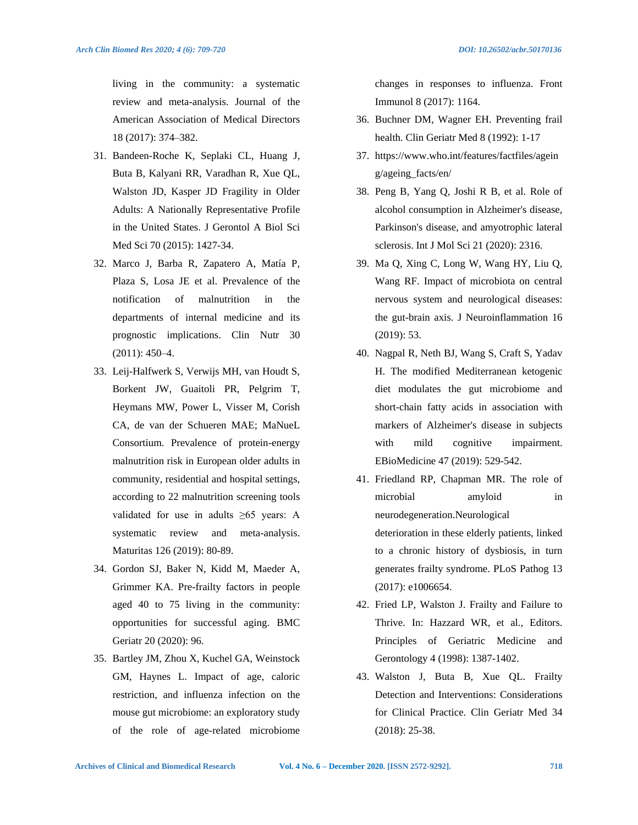living in the community: a systematic review and meta-analysis. Journal of the American Association of Medical Directors 18 (2017): 374–382.

- 31. Bandeen-Roche K, Seplaki CL, Huang J, Buta B, Kalyani RR, Varadhan R, Xue QL, Walston JD, Kasper JD Fragility in Older Adults: A Nationally Representative Profile in the United States. J Gerontol A Biol Sci Med Sci 70 (2015): 1427-34.
- 32. Marco J, Barba R, Zapatero A, Matía P, Plaza S, Losa JE et al. Prevalence of the notification of malnutrition in the departments of internal medicine and its prognostic implications. Clin Nutr 30 (2011): 450–4.
- 33. Leij-Halfwerk S, Verwijs MH, van Houdt S, Borkent JW, Guaitoli PR, Pelgrim T, Heymans MW, Power L, Visser M, Corish CA, de van der Schueren MAE; MaNueL Consortium. Prevalence of protein-energy malnutrition risk in European older adults in community, residential and hospital settings, according to 22 malnutrition screening tools validated for use in adults ≥65 years: A systematic review and meta-analysis. Maturitas 126 (2019): 80-89.
- 34. Gordon SJ, Baker N, Kidd M, Maeder A, Grimmer KA. Pre-frailty factors in people aged 40 to 75 living in the community: opportunities for successful aging. BMC Geriatr 20 (2020): 96.
- 35. Bartley JM, Zhou X, Kuchel GA, Weinstock GM, Haynes L. Impact of age, caloric restriction, and influenza infection on the mouse gut microbiome: an exploratory study of the role of age-related microbiome

changes in responses to influenza. Front Immunol 8 (2017): 1164.

- 36. Buchner DM, Wagner EH. Preventing frail health. Clin Geriatr Med 8 (1992): 1-17
- 37. https://www.who.int/features/factfiles/agein g/ageing\_facts/en/
- 38. Peng B, Yang Q, Joshi R B, et al. Role of alcohol consumption in Alzheimer's disease, Parkinson's disease, and amyotrophic lateral sclerosis. Int J Mol Sci 21 (2020): 2316.
- 39. Ma Q, Xing C, Long W, Wang HY, Liu Q, Wang RF. Impact of microbiota on central nervous system and neurological diseases: the gut-brain axis. J Neuroinflammation 16 (2019): 53.
- 40. Nagpal R, Neth BJ, Wang S, Craft S, Yadav H. The modified Mediterranean ketogenic diet modulates the gut microbiome and short-chain fatty acids in association with markers of Alzheimer's disease in subjects with mild cognitive impairment. EBioMedicine 47 (2019): 529-542.
- 41. Friedland RP, Chapman MR. The role of microbial amyloid in neurodegeneration.Neurological deterioration in these elderly patients, linked to a chronic history of dysbiosis, in turn generates frailty syndrome. PLoS Pathog 13 (2017): e1006654.
- 42. Fried LP, Walston J. Frailty and Failure to Thrive. In: Hazzard WR, et al., Editors. Principles of Geriatric Medicine and Gerontology 4 (1998): 1387-1402.
- 43. Walston J, Buta B, Xue QL. Frailty Detection and Interventions: Considerations for Clinical Practice. Clin Geriatr Med 34 (2018): 25-38.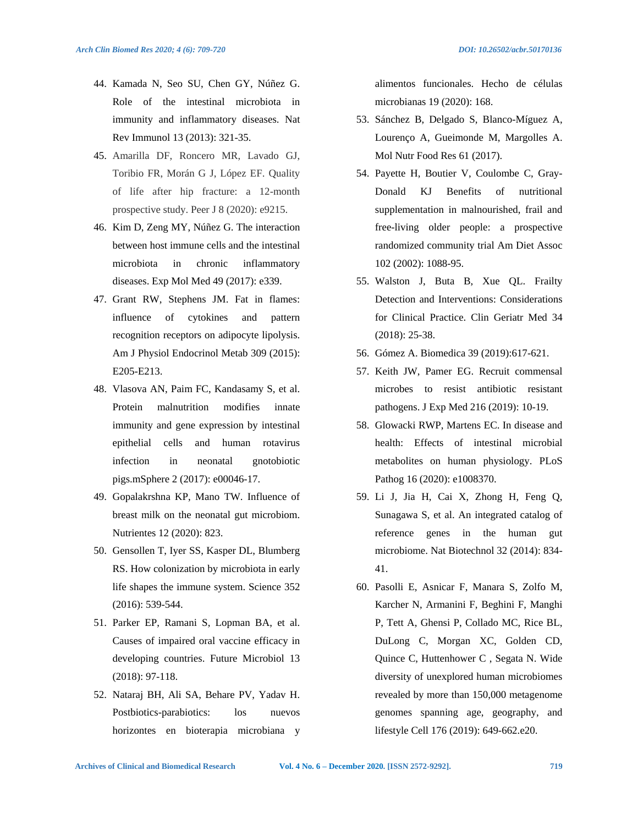- 44. Kamada N, Seo SU, Chen GY, Núñez G. Role of the intestinal microbiota in immunity and inflammatory diseases. Nat
- 45. Amarilla DF, Roncero MR, Lavado GJ, Toribio FR, Morán G J, López EF. Quality of life after hip fracture: a 12-month prospective study. Peer J 8 (2020): e9215.

Rev Immunol 13 (2013): 321-35.

- 46. Kim D, Zeng MY, Núñez G. The interaction between host immune cells and the intestinal microbiota in chronic inflammatory diseases. Exp Mol Med 49 (2017): e339.
- 47. Grant RW, Stephens JM. Fat in flames: influence of cytokines and pattern recognition receptors on adipocyte lipolysis. Am J Physiol Endocrinol Metab 309 (2015): E205-E213.
- 48. Vlasova AN, Paim FC, Kandasamy S, et al. Protein malnutrition modifies innate immunity and gene expression by intestinal epithelial cells and human rotavirus infection in neonatal gnotobiotic pigs.mSphere 2 (2017): e00046-17.
- 49. Gopalakrshna KP, Mano TW. Influence of breast milk on the neonatal gut microbiom. Nutrientes 12 (2020): 823.
- 50. Gensollen T, Iyer SS, Kasper DL, Blumberg RS. How colonization by microbiota in early life shapes the immune system. Science 352 (2016): 539-544.
- 51. Parker EP, Ramani S, Lopman BA, et al. Causes of impaired oral vaccine efficacy in developing countries. Future Microbiol 13 (2018): 97-118.
- 52. Nataraj BH, Ali SA, Behare PV, Yadav H. Postbiotics-parabiotics: los nuevos horizontes en bioterapia microbiana y

alimentos funcionales. Hecho de células microbianas 19 (2020): 168.

- 53. Sánchez B, Delgado S, Blanco-Míguez A, Lourenço A, Gueimonde M, Margolles A. Mol Nutr Food Res 61 (2017).
- 54. Payette H, Boutier V, Coulombe C, Gray-Donald KJ Benefits of nutritional supplementation in malnourished, frail and free-living older people: a prospective randomized community trial Am Diet Assoc 102 (2002): 1088-95.
- 55. Walston J, Buta B, Xue QL. Frailty Detection and Interventions: Considerations for Clinical Practice. Clin Geriatr Med 34 (2018): 25-38.
- 56. Gómez A. Biomedica 39 (2019):617-621.
- 57. Keith JW, Pamer EG. Recruit commensal microbes to resist antibiotic resistant pathogens. J Exp Med 216 (2019): 10-19.
- 58. Glowacki RWP, Martens EC. In disease and health: Effects of intestinal microbial metabolites on human physiology. PLoS Pathog 16 (2020): e1008370.
- 59. Li J, Jia H, Cai X, Zhong H, Feng Q, Sunagawa S, et al. An integrated catalog of reference genes in the human gut microbiome. Nat Biotechnol 32 (2014): 834- 41.
- 60. Pasolli E, Asnicar F, Manara S, Zolfo M, Karcher N, Armanini F, Beghini F, Manghi P, Tett A, Ghensi P, Collado MC, Rice BL, DuLong C, Morgan XC, Golden CD, Quince C, Huttenhower C , Segata N. Wide diversity of unexplored human microbiomes revealed by more than 150,000 metagenome genomes spanning age, geography, and lifestyle Cell 176 (2019): 649-662.e20.